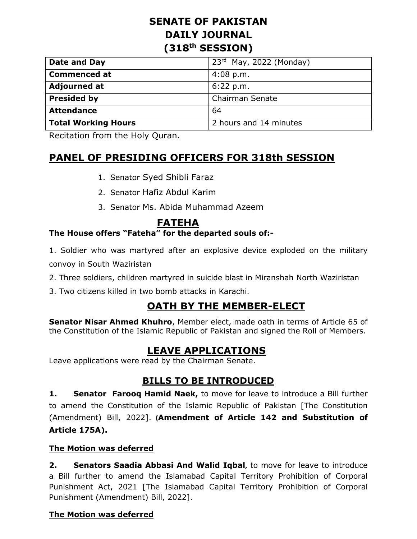# **SENATE OF PAKISTAN DAILY JOURNAL (318th SESSION)**

| Date and Day               | $23rd$ May, 2022 (Monday) |
|----------------------------|---------------------------|
| <b>Commenced at</b>        | $4:08$ p.m.               |
| <b>Adjourned at</b>        | 6:22 p.m.                 |
| <b>Presided by</b>         | <b>Chairman Senate</b>    |
| <b>Attendance</b>          | 64                        |
| <b>Total Working Hours</b> | 2 hours and 14 minutes    |

Recitation from the Holy Quran.

# **PANEL OF PRESIDING OFFICERS FOR 318th SESSION**

- 1. Senator Syed Shibli Faraz
- 2. Senator Hafiz Abdul Karim
- 3. Senator Ms. Abida Muhammad Azeem

# **FATEHA**

# **The House offers "Fateha" for the departed souls of:-**

- 1. Soldier who was martyred after an explosive device exploded on the military convoy in South Waziristan
- 2. Three soldiers, children martyred in suicide blast in Miranshah North Waziristan
- 3. Two citizens killed in two bomb attacks in Karachi.

# **OATH BY THE MEMBER-ELECT**

**Senator Nisar Ahmed Khuhro**, Member elect, made oath in terms of Article 65 of the Constitution of the Islamic Republic of Pakistan and signed the Roll of Members.

# **LEAVE APPLICATIONS**

Leave applications were read by the Chairman Senate.

# **BILLS TO BE INTRODUCED**

**1. Senator Farooq Hamid Naek,** to move for leave to introduce a Bill further to amend the Constitution of the Islamic Republic of Pakistan [The Constitution (Amendment) Bill, 2022]. **(Amendment of Article 142 and Substitution of Article 175A).**

## **The Motion was deferred**

**2. Senators Saadia Abbasi And Walid Iqbal,** to move for leave to introduce a Bill further to amend the Islamabad Capital Territory Prohibition of Corporal Punishment Act, 2021 [The Islamabad Capital Territory Prohibition of Corporal Punishment (Amendment) Bill, 2022].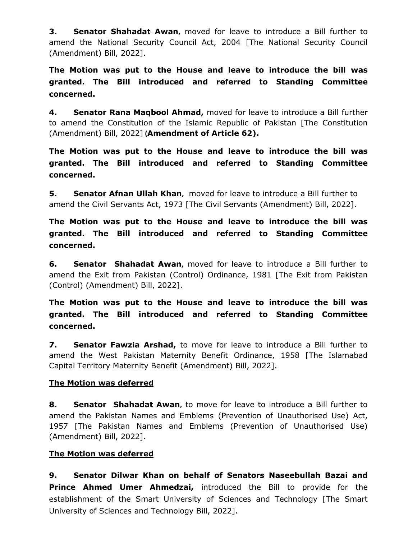**3. Senator Shahadat Awan,** moved for leave to introduce a Bill further to amend the National Security Council Act, 2004 [The National Security Council (Amendment) Bill, 2022].

**The Motion was put to the House and leave to introduce the bill was granted. The Bill introduced and referred to Standing Committee concerned.**

**4. Senator Rana Maqbool Ahmad,** moved for leave to introduce a Bill further to amend the Constitution of the Islamic Republic of Pakistan [The Constitution (Amendment) Bill, 2022] **(Amendment of Article 62).**

**The Motion was put to the House and leave to introduce the bill was granted. The Bill introduced and referred to Standing Committee concerned.**

**5. Senator Afnan Ullah Khan,** moved for leave to introduce a Bill further to amend the Civil Servants Act, 1973 [The Civil Servants (Amendment) Bill, 2022].

**The Motion was put to the House and leave to introduce the bill was granted. The Bill introduced and referred to Standing Committee concerned.**

**6. Senator Shahadat Awan,** moved for leave to introduce a Bill further to amend the Exit from Pakistan (Control) Ordinance, 1981 [The Exit from Pakistan (Control) (Amendment) Bill, 2022].

**The Motion was put to the House and leave to introduce the bill was granted. The Bill introduced and referred to Standing Committee concerned.**

**7. Senator Fawzia Arshad,** to move for leave to introduce a Bill further to amend the West Pakistan Maternity Benefit Ordinance, 1958 [The Islamabad Capital Territory Maternity Benefit (Amendment) Bill, 2022].

## **The Motion was deferred**

**8. Senator Shahadat Awan,** to move for leave to introduce a Bill further to amend the Pakistan Names and Emblems (Prevention of Unauthorised Use) Act, 1957 [The Pakistan Names and Emblems (Prevention of Unauthorised Use) (Amendment) Bill, 2022].

## **The Motion was deferred**

**9. Senator Dilwar Khan on behalf of Senators Naseebullah Bazai and Prince Ahmed Umer Ahmedzai,** introduced the Bill to provide for the establishment of the Smart University of Sciences and Technology [The Smart University of Sciences and Technology Bill, 2022].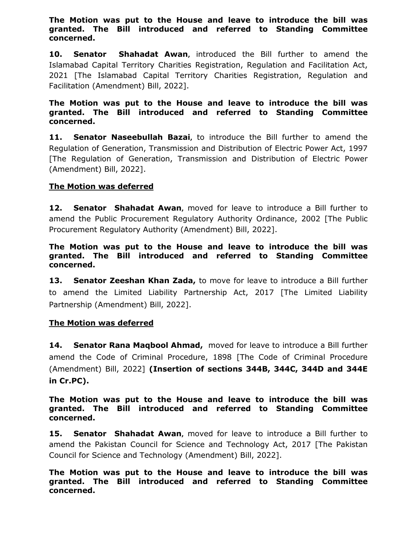#### **The Motion was put to the House and leave to introduce the bill was granted. The Bill introduced and referred to Standing Committee concerned.**

**10. Senator Shahadat Awan,** introduced the Bill further to amend the Islamabad Capital Territory Charities Registration, Regulation and Facilitation Act, 2021 [The Islamabad Capital Territory Charities Registration, Regulation and Facilitation (Amendment) Bill, 2022].

#### **The Motion was put to the House and leave to introduce the bill was granted. The Bill introduced and referred to Standing Committee concerned.**

**11. Senator Naseebullah Bazai,** to introduce the Bill further to amend the Regulation of Generation, Transmission and Distribution of Electric Power Act, 1997 [The Regulation of Generation, Transmission and Distribution of Electric Power (Amendment) Bill, 2022].

#### **The Motion was deferred**

**12. Senator Shahadat Awan,** moved for leave to introduce a Bill further to amend the Public Procurement Regulatory Authority Ordinance, 2002 [The Public Procurement Regulatory Authority (Amendment) Bill, 2022].

#### **The Motion was put to the House and leave to introduce the bill was granted. The Bill introduced and referred to Standing Committee concerned.**

**13. Senator Zeeshan Khan Zada,** to move for leave to introduce a Bill further to amend the Limited Liability Partnership Act, 2017 [The Limited Liability Partnership (Amendment) Bill, 2022].

#### **The Motion was deferred**

**14. Senator Rana Maqbool Ahmad,** moved for leave to introduce a Bill further amend the Code of Criminal Procedure, 1898 [The Code of Criminal Procedure (Amendment) Bill, 2022] **(Insertion of sections 344B, 344C, 344D and 344E in Cr.PC).**

#### **The Motion was put to the House and leave to introduce the bill was granted. The Bill introduced and referred to Standing Committee concerned.**

**15. Senator Shahadat Awan,** moved for leave to introduce a Bill further to amend the Pakistan Council for Science and Technology Act, 2017 [The Pakistan Council for Science and Technology (Amendment) Bill, 2022].

**The Motion was put to the House and leave to introduce the bill was granted. The Bill introduced and referred to Standing Committee concerned.**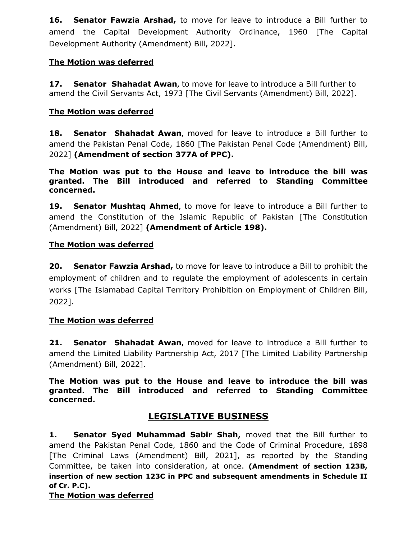**16. Senator Fawzia Arshad,** to move for leave to introduce a Bill further to amend the Capital Development Authority Ordinance, 1960 [The Capital Development Authority (Amendment) Bill, 2022].

## **The Motion was deferred**

**17. Senator Shahadat Awan,** to move for leave to introduce a Bill further to amend the Civil Servants Act, 1973 [The Civil Servants (Amendment) Bill, 2022].

## **The Motion was deferred**

**18. Senator Shahadat Awan,** moved for leave to introduce a Bill further to amend the Pakistan Penal Code, 1860 [The Pakistan Penal Code (Amendment) Bill, 2022] **(Amendment of section 377A of PPC).**

**The Motion was put to the House and leave to introduce the bill was granted. The Bill introduced and referred to Standing Committee concerned.**

**19. Senator Mushtaq Ahmed,** to move for leave to introduce a Bill further to amend the Constitution of the Islamic Republic of Pakistan [The Constitution (Amendment) Bill, 2022] **(Amendment of Article 198).**

#### **The Motion was deferred**

**20. Senator Fawzia Arshad,** to move for leave to introduce a Bill to prohibit the employment of children and to regulate the employment of adolescents in certain works [The Islamabad Capital Territory Prohibition on Employment of Children Bill, 2022].

#### **The Motion was deferred**

**21. Senator Shahadat Awan,** moved for leave to introduce a Bill further to amend the Limited Liability Partnership Act, 2017 [The Limited Liability Partnership (Amendment) Bill, 2022].

**The Motion was put to the House and leave to introduce the bill was granted. The Bill introduced and referred to Standing Committee concerned.**

# **LEGISLATIVE BUSINESS**

**1. Senator Syed Muhammad Sabir Shah,** moved that the Bill further to amend the Pakistan Penal Code, 1860 and the Code of Criminal Procedure, 1898 [The Criminal Laws (Amendment) Bill, 2021], as reported by the Standing Committee, be taken into consideration, at once. **(Amendment of section 123B, insertion of new section 123C in PPC and subsequent amendments in Schedule II of Cr. P.C).**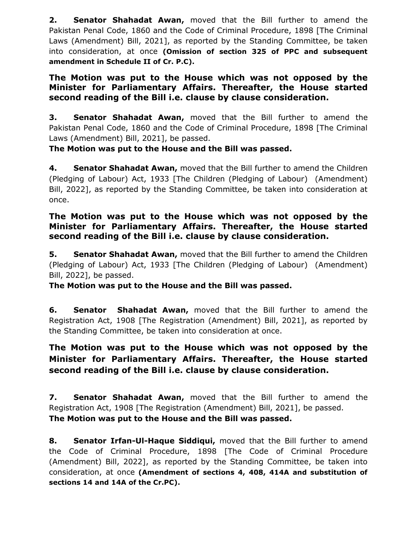**2. Senator Shahadat Awan,** moved that the Bill further to amend the Pakistan Penal Code, 1860 and the Code of Criminal Procedure, 1898 [The Criminal Laws (Amendment) Bill, 2021], as reported by the Standing Committee, be taken into consideration, at once **(Omission of section 325 of PPC and subsequent amendment in Schedule II of Cr. P.C).**

## **The Motion was put to the House which was not opposed by the Minister for Parliamentary Affairs. Thereafter, the House started second reading of the Bill i.e. clause by clause consideration.**

**3. Senator Shahadat Awan,** moved that the Bill further to amend the Pakistan Penal Code, 1860 and the Code of Criminal Procedure, 1898 [The Criminal Laws (Amendment) Bill, 2021], be passed.

## **The Motion was put to the House and the Bill was passed.**

**4. Senator Shahadat Awan,** moved that the Bill further to amend the Children (Pledging of Labour) Act, 1933 [The Children (Pledging of Labour) (Amendment) Bill, 2022], as reported by the Standing Committee, be taken into consideration at once.

## **The Motion was put to the House which was not opposed by the Minister for Parliamentary Affairs. Thereafter, the House started second reading of the Bill i.e. clause by clause consideration.**

**5.** Senator Shahadat Awan, moved that the Bill further to amend the Children (Pledging of Labour) Act, 1933 [The Children (Pledging of Labour) (Amendment) Bill, 2022], be passed.

**The Motion was put to the House and the Bill was passed.**

**6. Senator Shahadat Awan,** moved that the Bill further to amend the Registration Act, 1908 [The Registration (Amendment) Bill, 2021], as reported by the Standing Committee, be taken into consideration at once.

# **The Motion was put to the House which was not opposed by the Minister for Parliamentary Affairs. Thereafter, the House started second reading of the Bill i.e. clause by clause consideration.**

**7. Senator Shahadat Awan,** moved that the Bill further to amend the Registration Act, 1908 [The Registration (Amendment) Bill, 2021], be passed. **The Motion was put to the House and the Bill was passed.**

**8. Senator Irfan-Ul-Haque Siddiqui,** moved that the Bill further to amend the Code of Criminal Procedure, 1898 [The Code of Criminal Procedure (Amendment) Bill, 2022], as reported by the Standing Committee, be taken into consideration, at once **(Amendment of sections 4, 408, 414A and substitution of sections 14 and 14A of the Cr.PC).**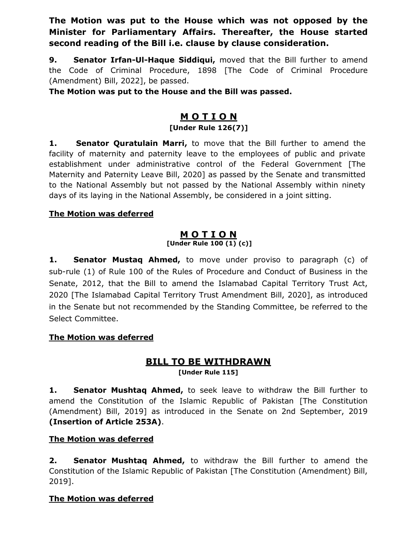**The Motion was put to the House which was not opposed by the Minister for Parliamentary Affairs. Thereafter, the House started second reading of the Bill i.e. clause by clause consideration.**

**9. Senator Irfan-Ul-Haque Siddiqui, moved that the Bill further to amend** the Code of Criminal Procedure, 1898 [The Code of Criminal Procedure (Amendment) Bill, 2022], be passed.

**The Motion was put to the House and the Bill was passed.**

# **M O T I O N**

# **[Under Rule 126(7)]**

**1. Senator Quratulain Marri,** to move that the Bill further to amend the facility of maternity and paternity leave to the employees of public and private establishment under administrative control of the Federal Government [The Maternity and Paternity Leave Bill, 2020] as passed by the Senate and transmitted to the National Assembly but not passed by the National Assembly within ninety days of its laying in the National Assembly, be considered in a joint sitting.

#### **The Motion was deferred**

#### **M O T I O N [Under Rule 100 (1) (c)]**

**1. Senator Mustaq Ahmed,** to move under proviso to paragraph (c) of sub-rule (1) of Rule 100 of the Rules of Procedure and Conduct of Business in the Senate, 2012, that the Bill to amend the Islamabad Capital Territory Trust Act, 2020 [The Islamabad Capital Territory Trust Amendment Bill, 2020], as introduced in the Senate but not recommended by the Standing Committee, be referred to the Select Committee.

## **The Motion was deferred**

## **BILL TO BE WITHDRAWN [Under Rule 115]**

**1. Senator Mushtaq Ahmed,** to seek leave to withdraw the Bill further to amend the Constitution of the Islamic Republic of Pakistan [The Constitution (Amendment) Bill, 2019] as introduced in the Senate on 2nd September, 2019 **(Insertion of Article 253A)**.

## **The Motion was deferred**

**2. Senator Mushtaq Ahmed,** to withdraw the Bill further to amend the Constitution of the Islamic Republic of Pakistan [The Constitution (Amendment) Bill, 2019].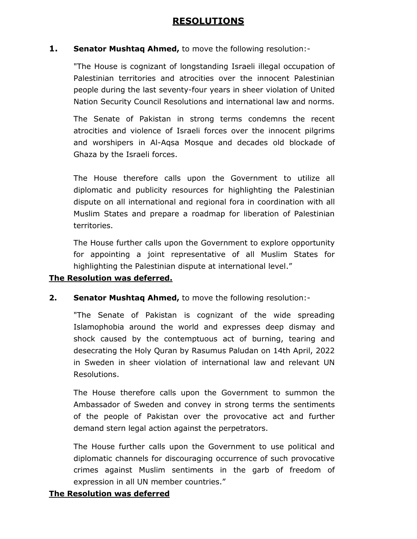## **RESOLUTIONS**

#### **1. Senator Mushtaq Ahmed,** to move the following resolution:-

"The House is cognizant of longstanding Israeli illegal occupation of Palestinian territories and atrocities over the innocent Palestinian people during the last seventy-four years in sheer violation of United Nation Security Council Resolutions and international law and norms.

The Senate of Pakistan in strong terms condemns the recent atrocities and violence of Israeli forces over the innocent pilgrims and worshipers in Al-Aqsa Mosque and decades old blockade of Ghaza by the Israeli forces.

The House therefore calls upon the Government to utilize all diplomatic and publicity resources for highlighting the Palestinian dispute on all international and regional fora in coordination with all Muslim States and prepare a roadmap for liberation of Palestinian territories.

The House further calls upon the Government to explore opportunity for appointing a joint representative of all Muslim States for highlighting the Palestinian dispute at international level."

#### **The Resolution was deferred.**

**2. Senator Mushtaq Ahmed,** to move the following resolution:-

"The Senate of Pakistan is cognizant of the wide spreading Islamophobia around the world and expresses deep dismay and shock caused by the contemptuous act of burning, tearing and desecrating the Holy Quran by Rasumus Paludan on 14th April, 2022 in Sweden in sheer violation of international law and relevant UN Resolutions.

The House therefore calls upon the Government to summon the Ambassador of Sweden and convey in strong terms the sentiments of the people of Pakistan over the provocative act and further demand stern legal action against the perpetrators.

The House further calls upon the Government to use political and diplomatic channels for discouraging occurrence of such provocative crimes against Muslim sentiments in the garb of freedom of expression in all UN member countries."

#### **The Resolution was deferred**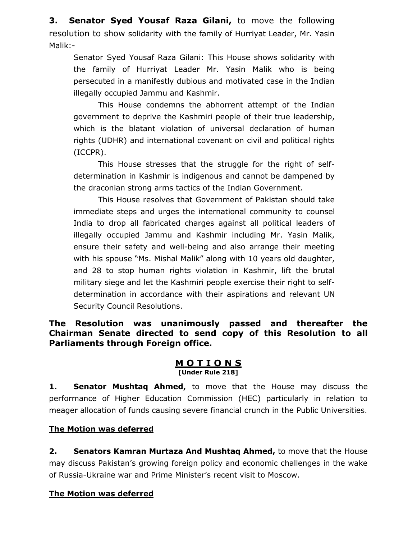**3. Senator Syed Yousaf Raza Gilani,** to move the following resolution to show solidarity with the family of Hurriyat Leader, Mr. Yasin Malik:-

Senator Syed Yousaf Raza Gilani: This House shows solidarity with the family of Hurriyat Leader Mr. Yasin Malik who is being persecuted in a manifestly dubious and motivated case in the Indian illegally occupied Jammu and Kashmir.

This House condemns the abhorrent attempt of the Indian government to deprive the Kashmiri people of their true leadership, which is the blatant violation of universal declaration of human rights (UDHR) and international covenant on civil and political rights (ICCPR).

This House stresses that the struggle for the right of selfdetermination in Kashmir is indigenous and cannot be dampened by the draconian strong arms tactics of the Indian Government.

This House resolves that Government of Pakistan should take immediate steps and urges the international community to counsel India to drop all fabricated charges against all political leaders of illegally occupied Jammu and Kashmir including Mr. Yasin Malik, ensure their safety and well-being and also arrange their meeting with his spouse "Ms. Mishal Malik" along with 10 years old daughter, and 28 to stop human rights violation in Kashmir, lift the brutal military siege and let the Kashmiri people exercise their right to selfdetermination in accordance with their aspirations and relevant UN Security Council Resolutions.

**The Resolution was unanimously passed and thereafter the Chairman Senate directed to send copy of this Resolution to all Parliaments through Foreign office.**

#### **M O T I O N S [Under Rule 218]**

**1. Senator Mushtaq Ahmed,** to move that the House may discuss the performance of Higher Education Commission (HEC) particularly in relation to meager allocation of funds causing severe financial crunch in the Public Universities.

## **The Motion was deferred**

**2. Senators Kamran Murtaza And Mushtaq Ahmed,** to move that the House may discuss Pakistan's growing foreign policy and economic challenges in the wake of Russia-Ukraine war and Prime Minister's recent visit to Moscow.